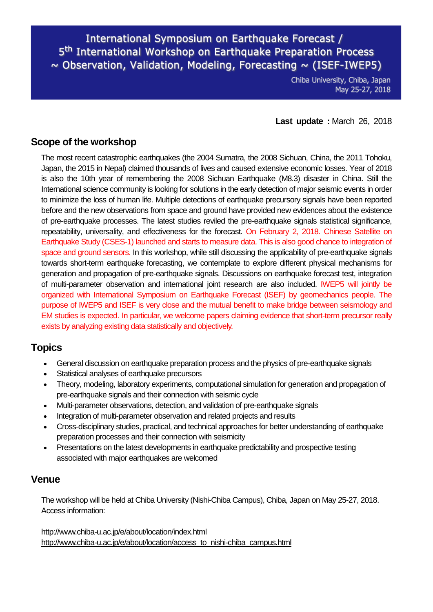International Symposium on Earthquake Forecast / 5<sup>th</sup> International Workshop on Earthquake Preparation Process  $\sim$  Observation, Validation, Modeling, Forecasting  $\sim$  (ISEF-IWEP5)

> Chiba University, Chiba, Japan May 25-27, 2018

**Last update :** March 26, 2018

#### **Scope of the workshop**

The most recent catastrophic earthquakes (the 2004 Sumatra, the 2008 Sichuan, China, the 2011 Tohoku, Japan, the 2015 in Nepal) claimed thousands of lives and caused extensive economic losses. Year of 2018 is also the 10th year of remembering the 2008 Sichuan Earthquake (M8.3) disaster in China. Still the International science community is looking for solutions in the early detection of major seismic events in order to minimize the loss of human life. Multiple detections of earthquake precursory signals have been reported before and the new observations from space and ground have provided new evidences about the existence of pre-earthquake processes. The latest studies reviled the pre-earthquake signals statistical significance, repeatability, universality, and effectiveness for the forecast. On February 2, 2018. Chinese Satellite on Earthquake Study (CSES-1) launched and starts to measure data. This is also good chance to integration of space and ground sensors. In this workshop, while still discussing the applicability of pre-earthquake signals towards short-term earthquake forecasting, we contemplate to explore different physical mechanisms for generation and propagation of pre-earthquake signals. Discussions on earthquake forecast test, integration of multi-parameter observation and international joint research are also included. IWEP5 will jointly be organized with International Symposium on Earthquake Forecast (ISEF) by geomechanics people. The purpose of IWEP5 and ISEF is very close and the mutual benefit to make bridge between seismology and EM studies is expected. In particular, we welcome papers claiming evidence that short-term precursor really exists by analyzing existing data statistically and objectively.

#### **Topics**

- General discussion on earthquake preparation process and the physics of pre-earthquake signals
- Statistical analyses of earthquake precursors
- Theory, modeling, laboratory experiments, computational simulation for generation and propagation of pre-earthquake signals and their connection with seismic cycle
- Multi-parameter observations, detection, and validation of pre-earthquake signals
- Integration of multi-parameter observation and related projects and results
- Cross-disciplinary studies, practical, and technical approaches for better understanding of earthquake preparation processes and their connection with seismicity
- Presentations on the latest developments in earthquake predictability and prospective testing associated with major earthquakes are welcomed

#### **Venue**

The workshop will be held at Chiba University (Nishi-Chiba Campus), Chiba, Japan on May 25-27, 2018. Access information:

<http://www.chiba-u.ac.jp/e/about/location/index.html> [http://www.chiba-u.ac.jp/e/about/location/access\\_to\\_nishi-chiba\\_campus.html](http://www.chiba-u.ac.jp/e/about/location/access_to_nishi-chiba_campus.html)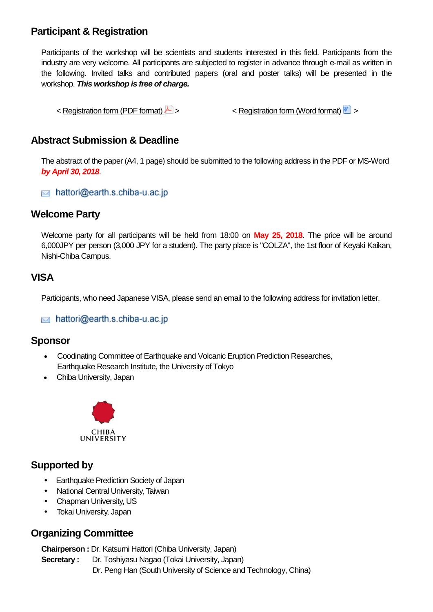## **Participant & Registration**

Participants of the workshop will be scientists and students interested in this field. Participants from the industry are very welcome. All participants are subjected to register in advance through e-mail as written in the following. Invited talks and contributed papers (oral and poster talks) will be presented in the workshop. *This workshop is free of charge.*

 $\leq$  [Registration form \(PDF format\)](http://www-es.s.chiba-u.ac.jp/geoph/ulf/isef-iwep5/ApplicationForm_ISEF-IWEP5.pdf)  $\geq$  >  $\leq$  [Registration form \(Word format\)](http://www-es.s.chiba-u.ac.jp/geoph/ulf/isef-iwep5/ApplicationForm_ISEF-IWEP5.doc)  $\geq$ 

## **Abstract Submission & Deadline**

The abstract of the paper (A4, 1 page) should be submitted to the following address in the PDF or MS-Word *by April 30, 2018*.

hattori@earth.s.chiba-u.ac.jp

## **Welcome Party**

Welcome party for all participants will be held from 18:00 on **May 25, 2018**. The price will be around 6,000JPY per person (3,000 JPY for a student). The party place is "COLZA", the 1st floor of Keyaki Kaikan, Nishi-Chiba Campus.

## **VISA**

Participants, who need Japanese VISA, please send an email to the following address for invitation letter.

hattori@earth.s.chiba-u.ac.jp

#### **Sponsor**

- [Coodinating Committee of Earthquake and Volcanic Eruption Prediction Researches,](http://www.eri.u-tokyo.ac.jp/YOTIKYO/H26-30/en/program_en.html)  [Earthquake Research Institute, the University of Tokyo](http://www.eri.u-tokyo.ac.jp/YOTIKYO/H26-30/en/program_en.html)
- [Chiba University, Japan](http://www.chiba-u.ac.jp/e/index.html)



## **Supported by**

- [Earthquake Prediction Society of Japan](http://www.eqpsj.jp/)
- National Central University, Taiwan
- Chapman University, US
- Tokai University, Japan

## **Organizing Committee**

**Chairperson :** Dr. Katsumi Hattori (Chiba University, Japan)

**Secretary :** Dr. Toshiyasu Nagao (Tokai University, Japan) Dr. Peng Han (South University of Science and Technology, China)